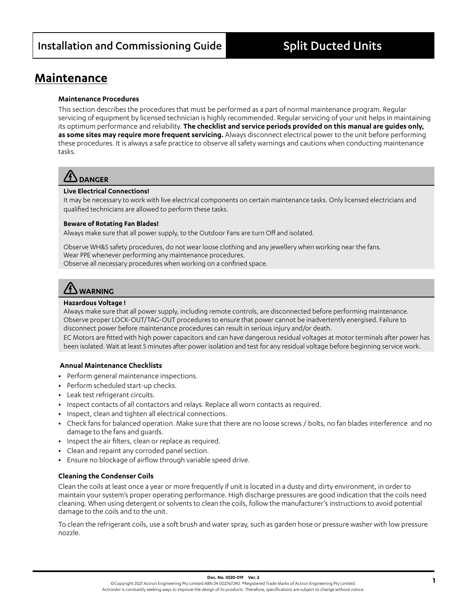### **Maintenance**

#### **Maintenance Procedures**

This section describes the procedures that must be performed as a part of normal maintenance program. Regular servicing of equipment by licensed technician is highly recommended. Regular servicing of your unit helps in maintaining its optimum performance and reliability. **The checklist and service periods provided on this manual are guides only, as some sites may require more frequent servicing.** Always disconnect electrical power to the unit before performing these procedures. It is always a safe practice to observe all safety warnings and cautions when conducting maintenance tasks.

## **DANGER**

#### **Live Electrical Connections!**

It may be necessary to work with live electrical components on certain maintenance tasks. Only licensed electricians and qualified technicians are allowed to perform these tasks.

#### **Beware of Rotating Fan Blades!**

Always make sure that all power supply, to the Outdoor Fans are turn Off and isolated.

Observe WH&S safety procedures, do not wear loose clothing and any jewellery when working near the fans. Wear PPE whenever performing any maintenance procedures. Observe all necessary procedures when working on a confined space.

# **WARNING**

#### **Hazardous Voltage !**

Always make sure that all power supply, including remote controls, are disconnected before performing maintenance. Observe proper LOCK-OUT/TAG-OUT procedures to ensure that power cannot be inadvertently energised. Failure to disconnect power before maintenance procedures can result in serious injury and/or death.

EC Motors are fitted with high power capacitors and can have dangerous residual voltages at motor terminals after power has been isolated. Wait at least 5 minutes after power isolation and test for any residual voltage before beginning service work.

#### **Annual Maintenance Checklists**

- **•** Perform general maintenance inspections.
- **•** Perform scheduled start-up checks.
- **•** Leak test refrigerant circuits.
- **•** Inspect contacts of all contactors and relays. Replace all worn contacts as required.
- **•** Inspect, clean and tighten all electrical connections.
- **•** Check fans for balanced operation. Make sure that there are no loose screws / bolts, no fan blades interference and no damage to the fans and guards.
- **•** Inspect the air filters, clean or replace as required.
- **•** Clean and repaint any corroded panel section.
- **•** Ensure no blockage of airflow through variable speed drive.

#### **Cleaning the Condenser Coils**

Clean the coils at least once a year or more frequently if unit is located in a dusty and dirty environment, in order to maintain your system's proper operating performance. High discharge pressures are good indication that the coils need cleaning. When using detergent or solvents to clean the coils, follow the manufacturer's instructions to avoid potential damage to the coils and to the unit.

To clean the refrigerant coils, use a soft brush and water spray, such as garden hose or pressure washer with low pressure nozzle.

 **1 Doc. No. 0520-019 Ver. 2** ©Copyright 2021 Actron Engineering Pty Limited ABN 34 002767240. ®Registered Trade Marks of Actron Engineering Pty Limited. ActronAir is constantly seeking ways to improve the design of its products. Therefore, specifications are subject to change without notice.